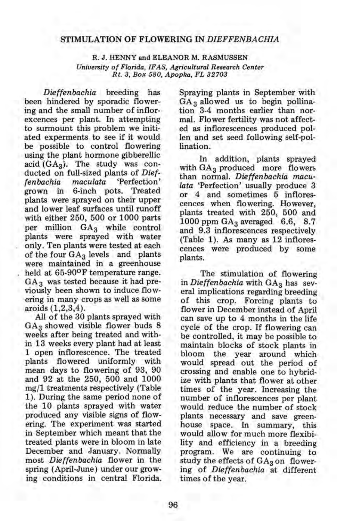## STIMULATION OF FLOWERING IN *DIEFFENBACHIA*

R. J. HENNY and ELEANOR M. RASMUSSEN *University of Florida, IF AS, Agricultural Research Center Rt.* 3, *Box 580, Apopka, FL 32703* 

*Dieffenbachia* breeding has been hindered by sporadic flowering and the small number of inflorexcences per plant. In attempting to surmount this problem we initiated experments to see if it would be possible to control flowering using the plant hormone gibberellic acid  $(GA_3)$ . The study was conducted on full-sized plants of *Dieffenbachia maculata* 'Perfection' grown in 6-inch pots. Treated plants were sprayed on their upper and lower leaf surfaces until runoff with either 250, 500 or 1000 parts per million  $GA_3$  while control plants were sprayed with water only. Ten plants were tested at each of the four  $GA_3$  levels and plants were maintained in a greenhouse held at 65-90<sup>o</sup>F temperature range.  $GA<sub>3</sub>$  was tested because it had previously been shown to induce flowering in many crops as well as some aroids (1,2,3,4).

All of the 30 plants sprayed with  $GA<sub>3</sub>$  showed visible flower buds 8 weeks after being treated and within 13 weeks every plant had at least 1 open inflorescence. The treated plants flowered uniformly with mean days to flowering of 93, 90 and 92 at the 250, 500 and 1000 mg/1 treatments respectively (Table 1). During the same period none of the 10 plants sprayed with water produced any visible signs of flowering. The experiment was started in September which meant that the treated plants were in bloom in late December and January. Normally most *Dieffenbachia* flower in the spring (April-June) under our growing conditions in central Florida.

Spraying plants in September with  $GA_3$  allowed us to begin pollination 3-4 months earlier than normal. Flower fertility was not affected as inflorescences produced pollen and set seed following self-pollination.

In addition, plants sprayed with  $GA_3$  produced more flowers than normal. *Dieffenbachia maculata* 'Perfection' usually produce 3 or 4 and sometimes 5 inflorescences when flowering. However, plants treated with 250, 500 and 1000 ppm  $GA_3$  averaged 6.6, 8.7 and 9.3 inflorescences respectively (Table 1). As many as 12 inflorescences were produced by some plants.

The stimulation of flowering in *Dieffenbachia* with GA<sub>3</sub> has several implications regarding breeding of this crop. Forcing plants to flower in December instead of April can save up to 4 months in the life cycle of the crop. If flowering can be controlled, it may be possible to maintain blocks of stock plants in bloom the year around which would spread out the period of crossing and enable one to hybridize with plants that flower at other times of the year. Increasing the number of inflorescences per plant would reduce the number of stock plants necessary and save greenhouse space. In summary, this would allow for much more flexibility and efficiency in a breeding program. We are continuing to study the effects of  $GA_3$  on flowering of *Dieffenbachia* at different times of the year.